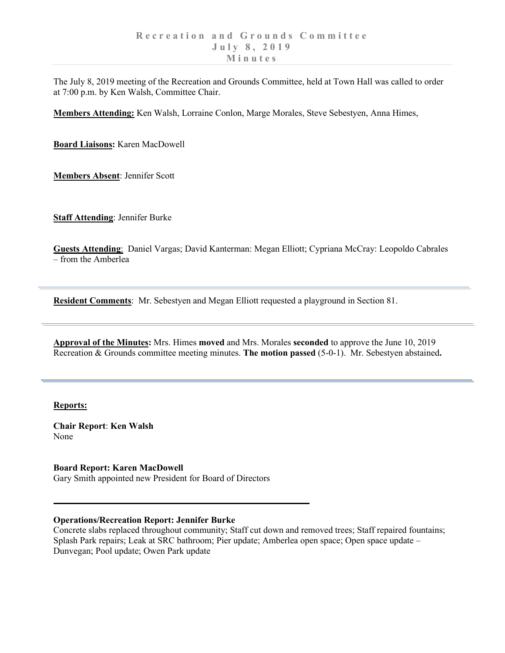The July 8, 2019 meeting of the Recreation and Grounds Committee, held at Town Hall was called to order at 7:00 p.m. by Ken Walsh, Committee Chair.

**Members Attending:** Ken Walsh, Lorraine Conlon, Marge Morales, Steve Sebestyen, Anna Himes,

**Board Liaisons:** Karen MacDowell

**Members Absent**: Jennifer Scott

**Staff Attending**: Jennifer Burke

**Guests Attending**: Daniel Vargas; David Kanterman: Megan Elliott; Cypriana McCray: Leopoldo Cabrales – from the Amberlea

**Resident Comments**: Mr. Sebestyen and Megan Elliott requested a playground in Section 81.

**Approval of the Minutes:** Mrs. Himes **moved** and Mrs. Morales **seconded** to approve the June 10, 2019 Recreation & Grounds committee meeting minutes. **The motion passed** (5-0-1). Mr. Sebestyen abstained**.**

## **Reports:**

**Chair Report**: **Ken Walsh** None

**Board Report: Karen MacDowell** Gary Smith appointed new President for Board of Directors

## **Operations/Recreation Report: Jennifer Burke**

Concrete slabs replaced throughout community; Staff cut down and removed trees; Staff repaired fountains; Splash Park repairs; Leak at SRC bathroom; Pier update; Amberlea open space; Open space update – Dunvegan; Pool update; Owen Park update